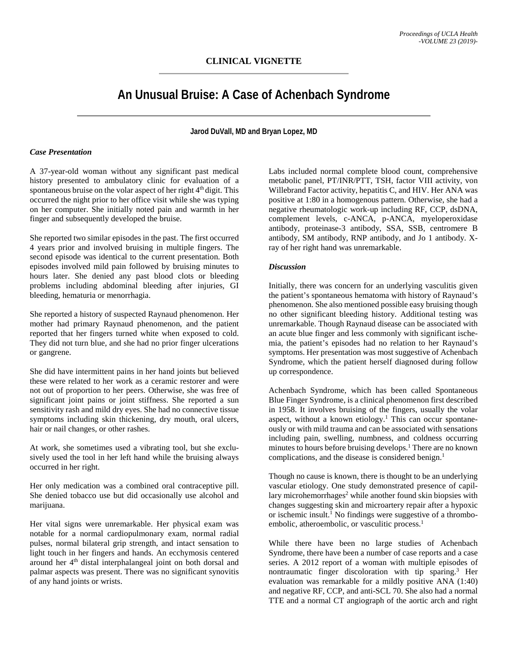# **An Unusual Bruise: A Case of Achenbach Syndrome**

**Jarod DuVall, MD and Bryan Lopez, MD**

### *Case Presentation*

A 37-year-old woman without any significant past medical history presented to ambulatory clinic for evaluation of a spontaneous bruise on the volar aspect of her right 4<sup>th</sup> digit. This occurred the night prior to her office visit while she was typing on her computer. She initially noted pain and warmth in her finger and subsequently developed the bruise.

She reported two similar episodes in the past. The first occurred 4 years prior and involved bruising in multiple fingers. The second episode was identical to the current presentation. Both episodes involved mild pain followed by bruising minutes to hours later. She denied any past blood clots or bleeding problems including abdominal bleeding after injuries, GI bleeding, hematuria or menorrhagia.

She reported a history of suspected Raynaud phenomenon. Her mother had primary Raynaud phenomenon, and the patient reported that her fingers turned white when exposed to cold. They did not turn blue, and she had no prior finger ulcerations or gangrene.

She did have intermittent pains in her hand joints but believed these were related to her work as a ceramic restorer and were not out of proportion to her peers. Otherwise, she was free of significant joint pains or joint stiffness. She reported a sun sensitivity rash and mild dry eyes. She had no connective tissue symptoms including skin thickening, dry mouth, oral ulcers, hair or nail changes, or other rashes.

At work, she sometimes used a vibrating tool, but she exclusively used the tool in her left hand while the bruising always occurred in her right.

Her only medication was a combined oral contraceptive pill. She denied tobacco use but did occasionally use alcohol and marijuana.

Her vital signs were unremarkable. Her physical exam was notable for a normal cardiopulmonary exam, normal radial pulses, normal bilateral grip strength, and intact sensation to light touch in her fingers and hands. An ecchymosis centered around her 4th distal interphalangeal joint on both dorsal and palmar aspects was present. There was no significant synovitis of any hand joints or wrists.

Labs included normal complete blood count, comprehensive metabolic panel, PT/INR/PTT, TSH, factor VIII activity, von Willebrand Factor activity, hepatitis C, and HIV. Her ANA was positive at 1:80 in a homogenous pattern. Otherwise, she had a negative rheumatologic work-up including RF, CCP, dsDNA, complement levels, c-ANCA, p-ANCA, myeloperoxidase antibody, proteinase-3 antibody, SSA, SSB, centromere B antibody, SM antibody, RNP antibody, and Jo 1 antibody. Xray of her right hand was unremarkable.

#### *Discussion*

Initially, there was concern for an underlying vasculitis given the patient's spontaneous hematoma with history of Raynaud's phenomenon. She also mentioned possible easy bruising though no other significant bleeding history. Additional testing was unremarkable. Though Raynaud disease can be associated with an acute blue finger and less commonly with significant ischemia, the patient's episodes had no relation to her Raynaud's symptoms. Her presentation was most suggestive of Achenbach Syndrome, which the patient herself diagnosed during follow up correspondence.

Achenbach Syndrome, which has been called Spontaneous Blue Finger Syndrome, is a clinical phenomenon first described in 1958. It involves bruising of the fingers, usually the volar aspect, without a known etiology.<sup>1</sup> This can occur spontaneously or with mild trauma and can be associated with sensations including pain, swelling, numbness, and coldness occurring minutes to hours before bruising develops.<sup>1</sup> There are no known complications, and the disease is considered benign. 1

Though no cause is known, there is thought to be an underlying vascular etiology. One study demonstrated presence of capillary microhemorrhages<sup>2</sup> while another found skin biopsies with changes suggesting skin and microartery repair after a hypoxic or ischemic insult. <sup>1</sup> No findings were suggestive of a thromboembolic, atheroembolic, or vasculitic process. 1

While there have been no large studies of Achenbach Syndrome, there have been a number of case reports and a case series. A 2012 report of a woman with multiple episodes of nontraumatic finger discoloration with tip sparing. <sup>3</sup> Her evaluation was remarkable for a mildly positive ANA (1:40) and negative RF, CCP, and anti-SCL 70. She also had a normal TTE and a normal CT angiograph of the aortic arch and right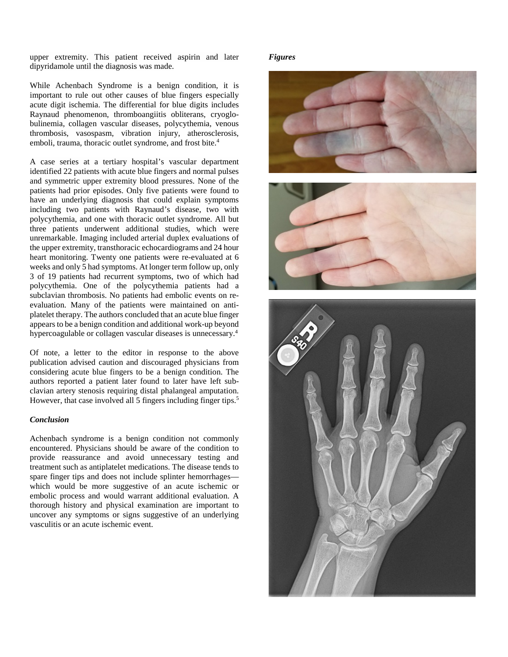upper extremity. This patient received aspirin and later dipyridamole until the diagnosis was made.

While Achenbach Syndrome is a benign condition, it is important to rule out other causes of blue fingers especially acute digit ischemia. The differential for blue digits includes Raynaud phenomenon, thromboangiitis obliterans, cryoglobulinemia, collagen vascular diseases, polycythemia, venous thrombosis, vasospasm, vibration injury, atherosclerosis, emboli, trauma, thoracic outlet syndrome, and frost bite. 4

A case series at a tertiary hospital's vascular department identified 22 patients with acute blue fingers and normal pulses and symmetric upper extremity blood pressures. None of the patients had prior episodes. Only five patients were found to have an underlying diagnosis that could explain symptoms including two patients with Raynaud's disease, two with polycythemia, and one with thoracic outlet syndrome. All but three patients underwent additional studies, which were unremarkable. Imaging included arterial duplex evaluations of the upper extremity, transthoracic echocardiograms and 24 hour heart monitoring. Twenty one patients were re-evaluated at 6 weeks and only 5 had symptoms. At longer term follow up, only 3 of 19 patients had recurrent symptoms, two of which had polycythemia. One of the polycythemia patients had a subclavian thrombosis. No patients had embolic events on reevaluation. Many of the patients were maintained on antiplatelet therapy. The authors concluded that an acute blue finger appears to be a benign condition and additional work-up beyond hypercoagulable or collagen vascular diseases is unnecessary. 4

Of note, a letter to the editor in response to the above publication advised caution and discouraged physicians from considering acute blue fingers to be a benign condition. The authors reported a patient later found to later have left subclavian artery stenosis requiring distal phalangeal amputation. However, that case involved all 5 fingers including finger tips.<sup>5</sup>

#### *Conclusion*

Achenbach syndrome is a benign condition not commonly encountered. Physicians should be aware of the condition to provide reassurance and avoid unnecessary testing and treatment such as antiplatelet medications. The disease tends to spare finger tips and does not include splinter hemorrhages which would be more suggestive of an acute ischemic or embolic process and would warrant additional evaluation. A thorough history and physical examination are important to uncover any symptoms or signs suggestive of an underlying vasculitis or an acute ischemic event.

#### *Figures*